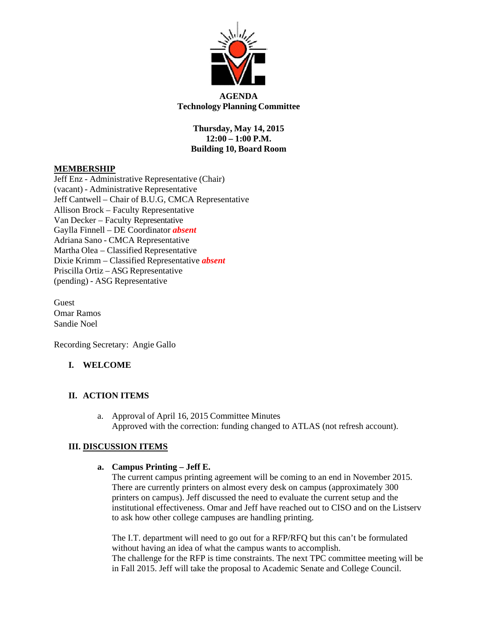

#### **AGENDA Technology Planning Committee**

**Thursday, May 14, 2015 12:00 – 1:00 P.M. Building 10, Board Room**

#### **MEMBERSHIP**

Jeff Enz - Administrative Representative (Chair) (vacant) - Administrative Representative Jeff Cantwell – Chair of B.U.G, CMCA Representative Allison Brock – Faculty Representative Van Decker – Faculty Representative Gaylla Finnell – DE Coordinator *absent* Adriana Sano - CMCA Representative Martha Olea – Classified Representative Dixie Krimm – Classified Representative *absent* Priscilla Ortiz – ASG Representative (pending) - ASG Representative

Guest Omar Ramos Sandie Noel

Recording Secretary: Angie Gallo

# **I. WELCOME**

# **II. ACTION ITEMS**

a. Approval of April 16, 2015 Committee Minutes Approved with the correction: funding changed to ATLAS (not refresh account).

# **III. DISCUSSION ITEMS**

#### **a. Campus Printing – Jeff E.**

The current campus printing agreement will be coming to an end in November 2015. There are currently printers on almost every desk on campus (approximately 300 printers on campus). Jeff discussed the need to evaluate the current setup and the institutional effectiveness. Omar and Jeff have reached out to CISO and on the Listserv to ask how other college campuses are handling printing.

The I.T. department will need to go out for a RFP/RFQ but this can't be formulated without having an idea of what the campus wants to accomplish. The challenge for the RFP is time constraints. The next TPC committee meeting will be in Fall 2015. Jeff will take the proposal to Academic Senate and College Council.